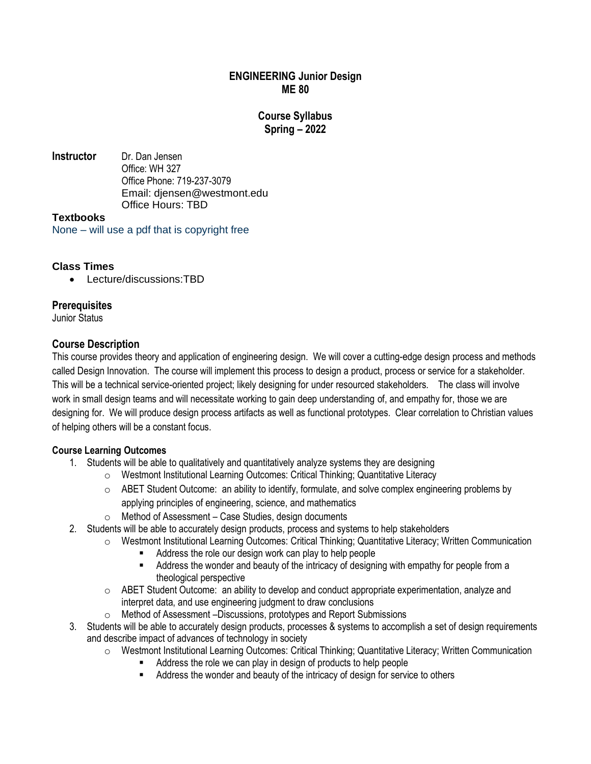### **ENGINEERING Junior Design ME 80**

# **Course Syllabus Spring – 2022**

**Instructor** Dr. Dan Jensen Office: WH 327 Office Phone: 719-237-3079 Email: djensen@westmont.edu Office Hours: TBD

### **Textbooks**

None – will use a pdf that is copyright free

# **Class Times**

• Lecture/discussions:TBD

# **Prerequisites**

Junior Status

# **Course Description**

This course provides theory and application of engineering design. We will cover a cutting-edge design process and methods called Design Innovation. The course will implement this process to design a product, process or service for a stakeholder. This will be a technical service-oriented project; likely designing for under resourced stakeholders. The class will involve work in small design teams and will necessitate working to gain deep understanding of, and empathy for, those we are designing for. We will produce design process artifacts as well as functional prototypes. Clear correlation to Christian values of helping others will be a constant focus.

# **Course Learning Outcomes**

- 1. Students will be able to qualitatively and quantitatively analyze systems they are designing
	- o Westmont Institutional Learning Outcomes: Critical Thinking; Quantitative Literacy
	- $\circ$  ABET Student Outcome: an ability to identify, formulate, and solve complex engineering problems by applying principles of engineering, science, and mathematics
	- $\circ$  Method of Assessment Case Studies, design documents
- 2. Students will be able to accurately design products, process and systems to help stakeholders
	- o Westmont Institutional Learning Outcomes: Critical Thinking; Quantitative Literacy; Written Communication
		- Address the role our design work can play to help people
		- **EXECT** Address the wonder and beauty of the intricacy of designing with empathy for people from a theological perspective
	- $\circ$  ABET Student Outcome: an ability to develop and conduct appropriate experimentation, analyze and interpret data, and use engineering judgment to draw conclusions
	- o Method of Assessment –Discussions, prototypes and Report Submissions
- 3. Students will be able to accurately design products, processes & systems to accomplish a set of design requirements and describe impact of advances of technology in society
	- o Westmont Institutional Learning Outcomes: Critical Thinking; Quantitative Literacy; Written Communication
		- Address the role we can play in design of products to help people
			- Address the wonder and beauty of the intricacy of design for service to others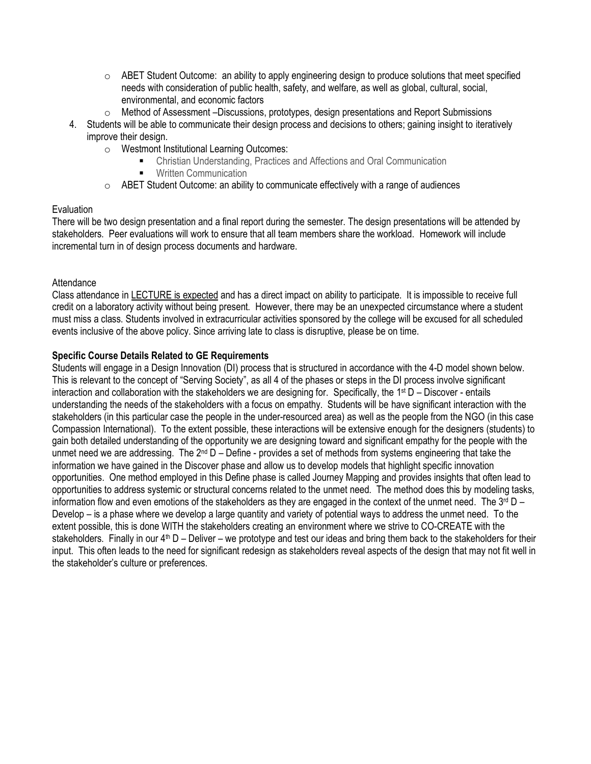- $\circ$  ABET Student Outcome: an ability to apply engineering design to produce solutions that meet specified needs with consideration of public health, safety, and welfare, as well as global, cultural, social, environmental, and economic factors
- o Method of Assessment –Discussions, prototypes, design presentations and Report Submissions
- 4. Students will be able to communicate their design process and decisions to others; gaining insight to iteratively improve their design.
	- o Westmont Institutional Learning Outcomes:
		- Christian Understanding, Practices and Affections and Oral Communication
		- Written Communication
	- o ABET Student Outcome: an ability to communicate effectively with a range of audiences

#### **Evaluation**

There will be two design presentation and a final report during the semester. The design presentations will be attended by stakeholders. Peer evaluations will work to ensure that all team members share the workload. Homework will include incremental turn in of design process documents and hardware.

#### **Attendance**

Class attendance in LECTURE is expected and has a direct impact on ability to participate. It is impossible to receive full credit on a laboratory activity without being present. However, there may be an unexpected circumstance where a student must miss a class. Students involved in extracurricular activities sponsored by the college will be excused for all scheduled events inclusive of the above policy. Since arriving late to class is disruptive, please be on time.

#### **Specific Course Details Related to GE Requirements**

Students will engage in a Design Innovation (DI) process that is structured in accordance with the 4-D model shown below. This is relevant to the concept of "Serving Society", as all 4 of the phases or steps in the DI process involve significant interaction and collaboration with the stakeholders we are designing for. Specifically, the  $1<sup>st</sup> D - Discover - entails$ understanding the needs of the stakeholders with a focus on empathy. Students will be have significant interaction with the stakeholders (in this particular case the people in the under-resourced area) as well as the people from the NGO (in this case Compassion International). To the extent possible, these interactions will be extensive enough for the designers (students) to gain both detailed understanding of the opportunity we are designing toward and significant empathy for the people with the unmet need we are addressing. The  $2^{nd} D - Define$  - provides a set of methods from systems engineering that take the information we have gained in the Discover phase and allow us to develop models that highlight specific innovation opportunities. One method employed in this Define phase is called Journey Mapping and provides insights that often lead to opportunities to address systemic or structural concerns related to the unmet need. The method does this by modeling tasks, information flow and even emotions of the stakeholders as they are engaged in the context of the unmet need. The  $3^{rd}$  D – Develop – is a phase where we develop a large quantity and variety of potential ways to address the unmet need. To the extent possible, this is done WITH the stakeholders creating an environment where we strive to CO-CREATE with the stakeholders. Finally in our  $4<sup>th</sup> D -$  Deliver – we prototype and test our ideas and bring them back to the stakeholders for their input. This often leads to the need for significant redesign as stakeholders reveal aspects of the design that may not fit well in the stakeholder's culture or preferences.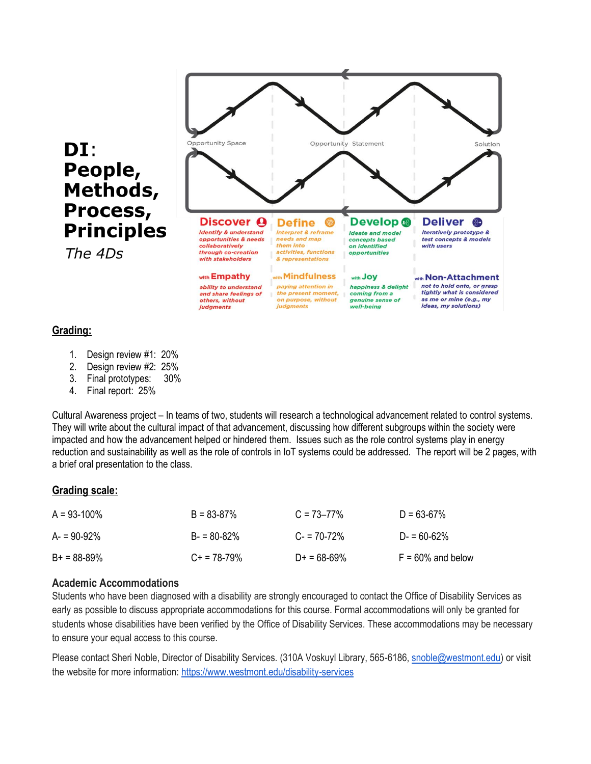

#### **Grading:**

- 1. Design review #1: 20%
- 2. Design review #2: 25%
- 3. Final prototypes: 30%
- 4. Final report: 25%

Cultural Awareness project – In teams of two, students will research a technological advancement related to control systems. They will write about the cultural impact of that advancement, discussing how different subgroups within the society were impacted and how the advancement helped or hindered them. Issues such as the role control systems play in energy reduction and sustainability as well as the role of controls in IoT systems could be addressed. The report will be 2 pages, with a brief oral presentation to the class.

#### **Grading scale:**

| $A = 93-100\%$ | $B = 83 - 87%$   | $C = 73 - 77\%$ | $D = 63-67\%$        |
|----------------|------------------|-----------------|----------------------|
| $A = 90-92%$   | $B = 80 - 82%$   | $C = 70-72%$    | $D = 60-62%$         |
| $B+ = 88-89\%$ | $C_{+}$ = 78-79% | $D+ = 68-69%$   | $F = 60\%$ and below |

#### **Academic Accommodations**

Students who have been diagnosed with a disability are strongly encouraged to contact the Office of Disability Services as early as possible to discuss appropriate accommodations for this course. Formal accommodations will only be granted for students whose disabilities have been verified by the Office of Disability Services. These accommodations may be necessary to ensure your equal access to this course.

Please contact Sheri Noble, Director of Disability Services. (310A Voskuyl Library, 565-6186, [snoble@westmont.edu\)](mailto:snoble@westmont.edu) or visit the website for more information: <https://www.westmont.edu/disability-services>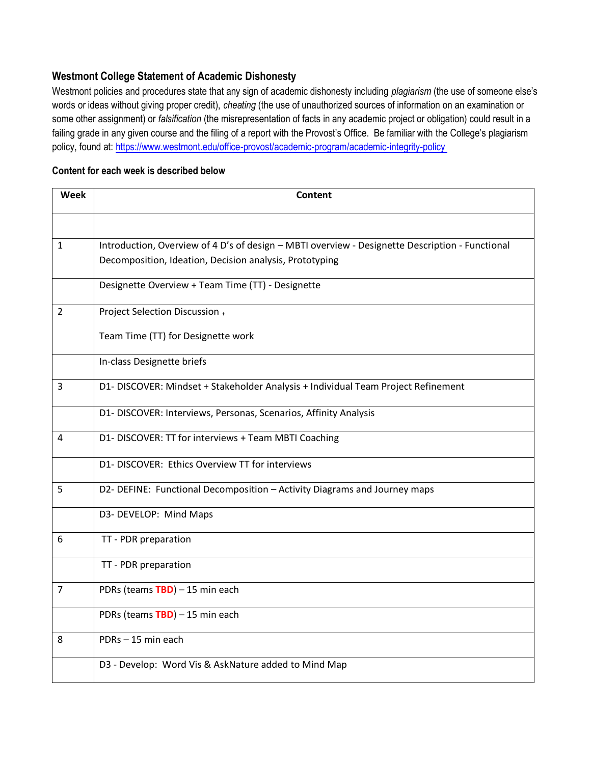# **Westmont College Statement of Academic Dishonesty**

Westmont policies and procedures state that any sign of academic dishonesty including *plagiarism* (the use of someone else's words or ideas without giving proper credit), *cheating* (the use of unauthorized sources of information on an examination or some other assignment) or *falsification* (the misrepresentation of facts in any academic project or obligation) could result in a failing grade in any given course and the filing of a report with the Provost's Office. Be familiar with the College's plagiarism policy, found at[: https://www.westmont.edu/office-provost/academic-program/academic-integrity-policy](https://www.westmont.edu/office-provost/academic-program/academic-integrity-policy 38)

#### **Content for each week is described below**

| Week           | <b>Content</b>                                                                                  |
|----------------|-------------------------------------------------------------------------------------------------|
|                |                                                                                                 |
| $\mathbf{1}$   | Introduction, Overview of 4 D's of design - MBTI overview - Designette Description - Functional |
|                | Decomposition, Ideation, Decision analysis, Prototyping                                         |
|                | Designette Overview + Team Time (TT) - Designette                                               |
| $\overline{2}$ | Project Selection Discussion +                                                                  |
|                | Team Time (TT) for Designette work                                                              |
|                | In-class Designette briefs                                                                      |
| 3              | D1- DISCOVER: Mindset + Stakeholder Analysis + Individual Team Project Refinement               |
|                | D1- DISCOVER: Interviews, Personas, Scenarios, Affinity Analysis                                |
| 4              | D1- DISCOVER: TT for interviews + Team MBTI Coaching                                            |
|                | D1- DISCOVER: Ethics Overview TT for interviews                                                 |
| 5              | D2- DEFINE: Functional Decomposition - Activity Diagrams and Journey maps                       |
|                | D3- DEVELOP: Mind Maps                                                                          |
| 6              | TT - PDR preparation                                                                            |
|                | TT - PDR preparation                                                                            |
| $\overline{7}$ | PDRs (teams TBD) - 15 min each                                                                  |
|                | PDRs (teams TBD) - 15 min each                                                                  |
| 8              | PDRs-15 min each                                                                                |
|                | D3 - Develop: Word Vis & AskNature added to Mind Map                                            |